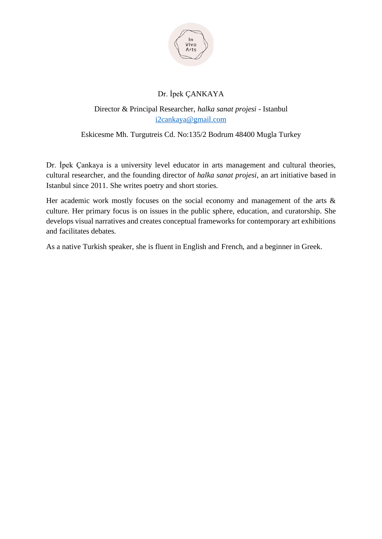

# Dr. İpek ÇANKAYA

Director & Principal Researcher, *halka sanat projesi* - Istanbul [i2cankaya@gmail.com](mailto:i2cankaya@gmail.com)

Eskicesme Mh. Turgutreis Cd. No:135/2 Bodrum 48400 Mugla Turkey

Dr. İpek Çankaya is a university level educator in arts management and cultural theories, cultural researcher, and the founding director of *halka sanat projesi*, an art initiative based in Istanbul since 2011. She writes poetry and short stories.

Her academic work mostly focuses on the social economy and management of the arts  $\&$ culture. Her primary focus is on issues in the public sphere, education, and curatorship. She develops visual narratives and creates conceptual frameworks for contemporary art exhibitions and facilitates debates.

As a native Turkish speaker, she is fluent in English and French, and a beginner in Greek.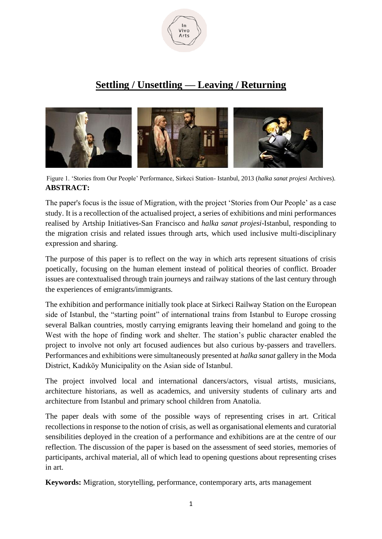

# **Settling / Unsettling — Leaving / Returning**



Figure 1. 'Stories from Our People' Performance, Sirkeci Station- Istanbul, 2013 (*halka sanat projesi* Archives). **ABSTRACT:**

The paper's focus is the issue of Migration, with the project 'Stories from Our People' as a case study. It is a recollection of the actualised project, a series of exhibitions and mini performances realised by Artship Initiatives-San Francisco and *halka sanat projesi*-Istanbul, responding to the migration crisis and related issues through arts, which used inclusive multi-disciplinary expression and sharing.

The purpose of this paper is to reflect on the way in which arts represent situations of crisis poetically, focusing on the human element instead of political theories of conflict. Broader issues are contextualised through train journeys and railway stations of the last century through the experiences of emigrants/immigrants.

The exhibition and performance initially took place at Sirkeci Railway Station on the European side of Istanbul, the "starting point" of international trains from Istanbul to Europe crossing several Balkan countries, mostly carrying emigrants leaving their homeland and going to the West with the hope of finding work and shelter. The station's public character enabled the project to involve not only art focused audiences but also curious by-passers and travellers. Performances and exhibitions were simultaneously presented at *halka sanat* gallery in the Moda District, Kadıköy Municipality on the Asian side of Istanbul.

The project involved local and international dancers/actors, visual artists, musicians, architecture historians, as well as academics, and university students of culinary arts and architecture from Istanbul and primary school children from Anatolia.

The paper deals with some of the possible ways of representing crises in art. Critical recollections in response to the notion of crisis, as well as organisational elements and curatorial sensibilities deployed in the creation of a performance and exhibitions are at the centre of our reflection. The discussion of the paper is based on the assessment of seed stories, memories of participants, archival material, all of which lead to opening questions about representing crises in art.

**Keywords:** Migration, storytelling, performance, contemporary arts, arts management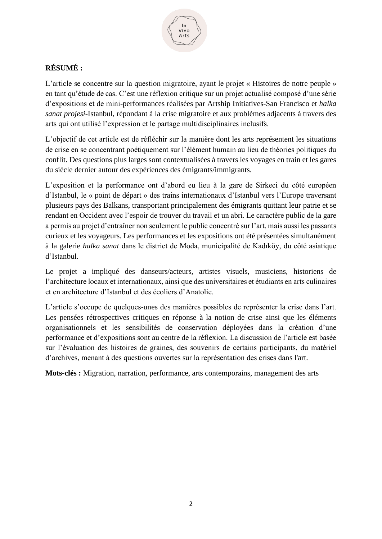

# **RÉSUMÉ :**

L'article se concentre sur la question migratoire, ayant le projet « Histoires de notre peuple » en tant qu'étude de cas. C'est une réflexion critique sur un projet actualisé composé d'une série d'expositions et de mini-performances réalisées par Artship Initiatives-San Francisco et *halka sanat projesi*-Istanbul, répondant à la crise migratoire et aux problèmes adjacents à travers des arts qui ont utilisé l'expression et le partage multidisciplinaires inclusifs.

L'objectif de cet article est de réfléchir sur la manière dont les arts représentent les situations de crise en se concentrant poétiquement sur l'élément humain au lieu de théories politiques du conflit. Des questions plus larges sont contextualisées à travers les voyages en train et les gares du siècle dernier autour des expériences des émigrants/immigrants.

L'exposition et la performance ont d'abord eu lieu à la gare de Sirkeci du côté européen d'Istanbul, le « point de départ » des trains internationaux d'Istanbul vers l'Europe traversant plusieurs pays des Balkans, transportant principalement des émigrants quittant leur patrie et se rendant en Occident avec l'espoir de trouver du travail et un abri. Le caractère public de la gare a permis au projet d'entraîner non seulement le public concentré sur l'art, mais aussi les passants curieux et les voyageurs. Les performances et les expositions ont été présentées simultanément à la galerie *halka sanat* dans le district de Moda, municipalité de Kadıköy, du côté asiatique d'Istanbul.

Le projet a impliqué des danseurs/acteurs, artistes visuels, musiciens, historiens de l'architecture locaux et internationaux, ainsi que des universitaires et étudiants en arts culinaires et en architecture d'Istanbul et des écoliers d'Anatolie.

L'article s'occupe de quelques-unes des manières possibles de représenter la crise dans l'art. Les pensées rétrospectives critiques en réponse à la notion de crise ainsi que les éléments organisationnels et les sensibilités de conservation déployées dans la création d'une performance et d'expositions sont au centre de la réflexion. La discussion de l'article est basée sur l'évaluation des histoires de graines, des souvenirs de certains participants, du matériel d'archives, menant à des questions ouvertes sur la représentation des crises dans l'art.

**Mots-clés :** Migration, narration, performance, arts contemporains, management des arts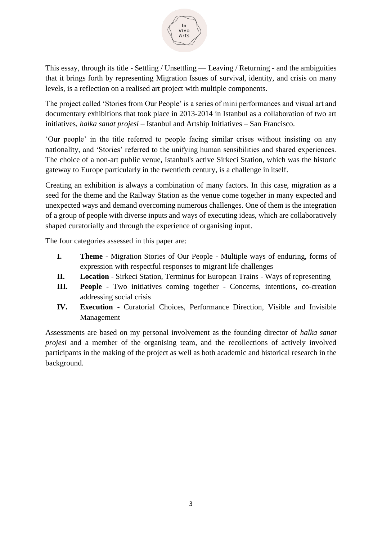

This essay, through its title - Settling / Unsettling — Leaving / Returning - and the ambiguities that it brings forth by representing Migration Issues of survival, identity, and crisis on many levels, is a reflection on a realised art project with multiple components.

The project called 'Stories from Our People' is a series of mini performances and visual art and documentary exhibitions that took place in 2013-2014 in Istanbul as a collaboration of two art initiatives, *halka sanat projesi* – Istanbul and Artship Initiatives – San Francisco.

'Our people' in the title referred to people facing similar crises without insisting on any nationality, and 'Stories' referred to the unifying human sensibilities and shared experiences. The choice of a non-art public venue, Istanbul's active Sirkeci Station, which was the historic gateway to Europe particularly in the twentieth century, is a challenge in itself.

Creating an exhibition is always a combination of many factors. In this case, migration as a seed for the theme and the Railway Station as the venue come together in many expected and unexpected ways and demand overcoming numerous challenges. One of them is the integration of a group of people with diverse inputs and ways of executing ideas, which are collaboratively shaped curatorially and through the experience of organising input.

The four categories assessed in this paper are:

- **I. Theme -** Migration Stories of Our People Multiple ways of enduring, forms of expression with respectful responses to migrant life challenges
- **II. Location -** Sirkeci Station, Terminus for European Trains Ways of representing
- **III. People** Two initiatives coming together Concerns, intentions, co-creation addressing social crisis
- **IV. Execution -** Curatorial Choices, Performance Direction, Visible and Invisible Management

Assessments are based on my personal involvement as the founding director of *halka sanat projesi* and a member of the organising team, and the recollections of actively involved participants in the making of the project as well as both academic and historical research in the background.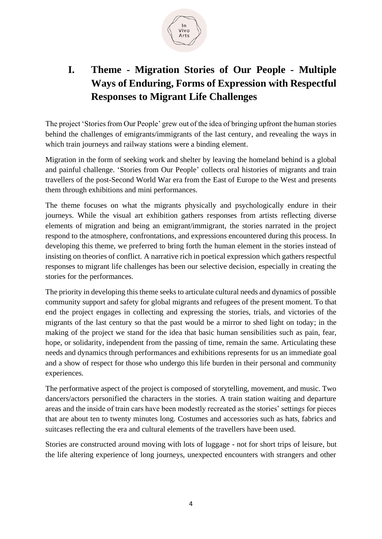

# **I. Theme - Migration Stories of Our People - Multiple Ways of Enduring, Forms of Expression with Respectful Responses to Migrant Life Challenges**

The project 'Stories from Our People' grew out of the idea of bringing upfront the human stories behind the challenges of emigrants/immigrants of the last century, and revealing the ways in which train journeys and railway stations were a binding element.

Migration in the form of seeking work and shelter by leaving the homeland behind is a global and painful challenge. 'Stories from Our People' collects oral histories of migrants and train travellers of the post-Second World War era from the East of Europe to the West and presents them through exhibitions and mini performances.

The theme focuses on what the migrants physically and psychologically endure in their journeys. While the visual art exhibition gathers responses from artists reflecting diverse elements of migration and being an emigrant/immigrant, the stories narrated in the project respond to the atmosphere, confrontations, and expressions encountered during this process. In developing this theme, we preferred to bring forth the human element in the stories instead of insisting on theories of conflict. A narrative rich in poetical expression which gathers respectful responses to migrant life challenges has been our selective decision, especially in creating the stories for the performances.

The priority in developing this theme seeks to articulate cultural needs and dynamics of possible community support and safety for global migrants and refugees of the present moment. To that end the project engages in collecting and expressing the stories, trials, and victories of the migrants of the last century so that the past would be a mirror to shed light on today; in the making of the project we stand for the idea that basic human sensibilities such as pain, fear, hope, or solidarity, independent from the passing of time, remain the same. Articulating these needs and dynamics through performances and exhibitions represents for us an immediate goal and a show of respect for those who undergo this life burden in their personal and community experiences.

The performative aspect of the project is composed of storytelling, movement, and music. Two dancers/actors personified the characters in the stories. A train station waiting and departure areas and the inside of train cars have been modestly recreated as the stories' settings for pieces that are about ten to twenty minutes long. Costumes and accessories such as hats, fabrics and suitcases reflecting the era and cultural elements of the travellers have been used.

Stories are constructed around moving with lots of luggage - not for short trips of leisure, but the life altering experience of long journeys, unexpected encounters with strangers and other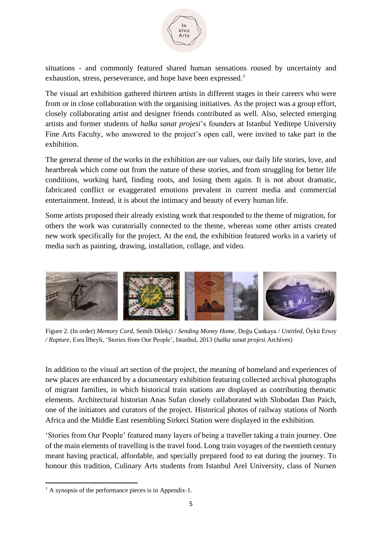

situations - and commonly featured shared human sensations roused by uncertainty and exhaustion, stress, perseverance, and hope have been expressed.<sup>1</sup>

The visual art exhibition gathered thirteen artists in different stages in their careers who were from or in close collaboration with the organising initiatives. As the project was a group effort, closely collaborating artist and designer friends contributed as well. Also, selected emerging artists and former students of *halka sanat projesi*'s founders at Istanbul Yeditepe University Fine Arts Faculty, who answered to the project's open call, were invited to take part in the exhibition.

The general theme of the works in the exhibition are our values, our daily life stories, love, and heartbreak which come out from the nature of these stories, and from struggling for better life conditions, working hard, finding roots, and losing them again. It is not about dramatic, fabricated conflict or exaggerated emotions prevalent in current media and commercial entertainment. Instead, it is about the intimacy and beauty of every human life.

Some artists proposed their already existing work that responded to the theme of migration, for others the work was curatorially connected to the theme, whereas some other artists created new work specifically for the project. At the end, the exhibition featured works in a variety of media such as painting, drawing, installation, collage, and video.



Figure 2. (In order) *Memory Card,* Semih Dilekçi / *Sending Money Home,* Doğu Çankaya */ Untitled,* Öykü Ersoy */ Rupture,* Esra İlbeyli, 'Stories from Our People', Istanbul, 2013 (*halka sanat projesi* Archives)

In addition to the visual art section of the project, the meaning of homeland and experiences of new places are enhanced by a documentary exhibition featuring collected archival photographs of migrant families, in which historical train stations are displayed as contributing thematic elements. Architectural historian Anas Sufan closely collaborated with Slobodan Dan Paich, one of the initiators and curators of the project. Historical photos of railway stations of North Africa and the Middle East resembling Sirkeci Station were displayed in the exhibition.

'Stories from Our People' featured many layers of being a traveller taking a train journey. One of the main elements of travelling is the travel food. Long train voyages of the twentieth century meant having practical, affordable, and specially prepared food to eat during the journey. To honour this tradition, Culinary Arts students from Istanbul Arel University, class of Nursen

 $<sup>1</sup>$  A synopsis of the performance pieces is in Appendix-1.</sup>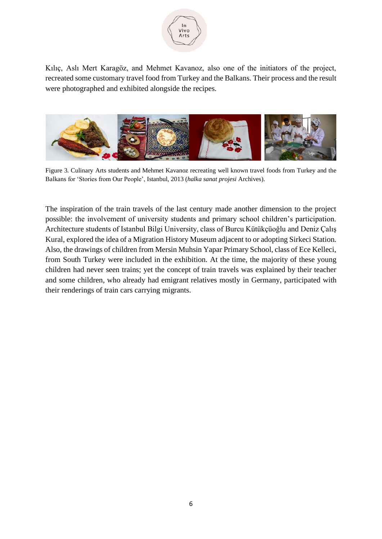

Kılıç, Aslı Mert Karagöz, and Mehmet Kavanoz, also one of the initiators of the project, recreated some customary travel food from Turkey and the Balkans. Their process and the result were photographed and exhibited alongside the recipes.



Figure 3. Culinary Arts students and Mehmet Kavanoz recreating well known travel foods from Turkey and the Balkans for 'Stories from Our People', Istanbul, 2013 (*halka sanat projesi* Archives).

The inspiration of the train travels of the last century made another dimension to the project possible: the involvement of university students and primary school children's participation. Architecture students of Istanbul Bilgi University, class of Burcu Kütükçüoğlu and Deniz Çalış Kural, explored the idea of a Migration History Museum adjacent to or adopting Sirkeci Station. Also, the drawings of children from Mersin Muhsin Yapar Primary School, class of Ece Kelleci, from South Turkey were included in the exhibition. At the time, the majority of these young children had never seen trains; yet the concept of train travels was explained by their teacher and some children, who already had emigrant relatives mostly in Germany, participated with their renderings of train cars carrying migrants.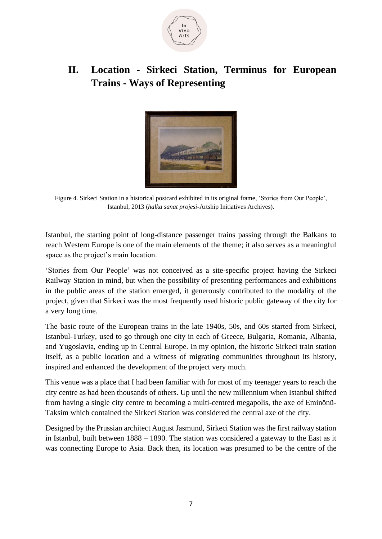

# **II. Location - Sirkeci Station, Terminus for European Trains - Ways of Representing**



Figure 4. Sirkeci Station in a historical postcard exhibited in its original frame, 'Stories from Our People', Istanbul, 2013 (*halka sanat projesi-*Artship Initiatives Archives).

Istanbul, the starting point of long-distance passenger trains passing through the Balkans to reach Western Europe is one of the main elements of the theme; it also serves as a meaningful space as the project's main location.

'Stories from Our People' was not conceived as a site-specific project having the Sirkeci Railway Station in mind, but when the possibility of presenting performances and exhibitions in the public areas of the station emerged, it generously contributed to the modality of the project, given that Sirkeci was the most frequently used historic public gateway of the city for a very long time.

The basic route of the European trains in the late 1940s, 50s, and 60s started from Sirkeci, Istanbul-Turkey, used to go through one city in each of Greece, Bulgaria, Romania, Albania, and Yugoslavia, ending up in Central Europe. In my opinion, the historic Sirkeci train station itself, as a public location and a witness of migrating communities throughout its history, inspired and enhanced the development of the project very much.

This venue was a place that I had been familiar with for most of my teenager years to reach the city centre as had been thousands of others. Up until the new millennium when Istanbul shifted from having a single city centre to becoming a multi-centred megapolis, the axe of Eminönü-Taksim which contained the Sirkeci Station was considered the central axe of the city.

Designed by the Prussian architect August Jasmund, Sirkeci Station was the first railway station in Istanbul, built between 1888 – 1890. The station was considered a gateway to the East as it was connecting Europe to Asia. Back then, its location was presumed to be the centre of the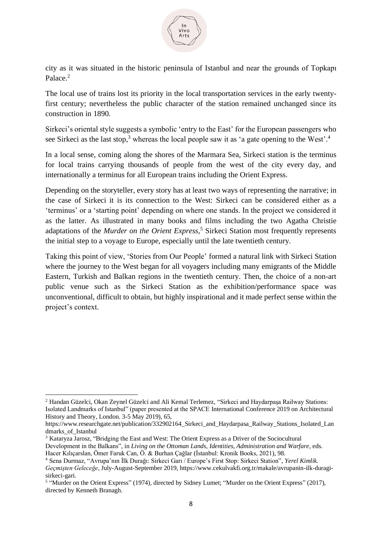

city as it was situated in the historic peninsula of Istanbul and near the grounds of Topkapı Palace. 2

The local use of trains lost its priority in the local transportation services in the early twentyfirst century; nevertheless the public character of the station remained unchanged since its construction in 1890.

Sirkeci's oriental style suggests a symbolic 'entry to the East' for the European passengers who see Sirkeci as the last stop,<sup>3</sup> whereas the local people saw it as 'a gate opening to the West'.<sup>4</sup>

In a local sense, coming along the shores of the Marmara Sea, Sirkeci station is the terminus for local trains carrying thousands of people from the west of the city every day, and internationally a terminus for all European trains including the Orient Express.

Depending on the storyteller, every story has at least two ways of representing the narrative; in the case of Sirkeci it is its connection to the West: Sirkeci can be considered either as a 'terminus' or a 'starting point' depending on where one stands. In the project we considered it as the latter. As illustrated in many books and films including the two Agatha Christie adaptations of the *Murder on the Orient Express,* <sup>5</sup> Sirkeci Station most frequently represents the initial step to a voyage to Europe, especially until the late twentieth century.

Taking this point of view, 'Stories from Our People' formed a natural link with Sirkeci Station where the journey to the West began for all voyagers including many emigrants of the Middle Eastern, Turkish and Balkan regions in the twentieth century. Then, the choice of a non-art public venue such as the Sirkeci Station as the exhibition/performance space was unconventional, difficult to obtain, but highly inspirational and it made perfect sense within the project's context.

<sup>2</sup> Handan Güzelci, Okan Zeynel Güzelci and Ali Kemal Terlemez, "Sirkeci and Haydarpaşa Railway Stations: Isolated Landmarks of Istanbul" (paper presented at the SPACE International Conference 2019 on Architectural History and Theory, London. 3-5 May 2019), 65,

https://www.researchgate.net/publication/332902164 Sirkeci and Haydarpasa Railway Stations Isolated Lan dmarks of Istanbul

<sup>3</sup> Kataryza Jarosz, "Bridging the East and West: The Orient Express as a Driver of the Sociocultural

Development in the Balkans", in *Living on the Ottoman Lands, Identities, Administration and Warfare*, eds. Hacer Kılıçarslan, Ömer Faruk Can, Ö. & Burhan Çağlar (İstanbul: Kronik Books, 2021), 98.

<sup>4</sup> Sena Durmaz, "Avrupa'nın İlk Durağı: Sirkeci Garı / Europe's First Stop: Sirkeci Station", *Yerel Kimlik. Geçmişten Geleceğe*, July-August-September 2019, https://www.cekulvakfi.org.tr/makale/avrupanin-ilk-duragisirkeci-gari.

<sup>&</sup>lt;sup>5</sup> "Murder on the Orient Express" (1974), directed by Sidney Lumet; "Murder on the Orient Express" (2017), directed by Kenneth Branagh.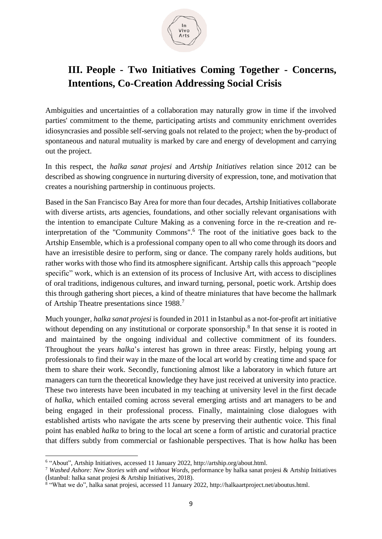

# **III. People - Two Initiatives Coming Together - Concerns, Intentions, Co-Creation Addressing Social Crisis**

Ambiguities and uncertainties of a collaboration may naturally grow in time if the involved parties' commitment to the theme, participating artists and community enrichment overrides idiosyncrasies and possible self-serving goals not related to the project; when the by-product of spontaneous and natural mutuality is marked by care and energy of development and carrying out the project.

In this respect, the *halka sanat projesi* and *Artship Initiatives* relation since 2012 can be described as showing congruence in nurturing diversity of expression, tone, and motivation that creates a nourishing partnership in continuous projects.

Based in the San Francisco Bay Area for more than four decades, Artship Initiatives collaborate with diverse artists, arts agencies, foundations, and other socially relevant organisations with the intention to emancipate Culture Making as a convening force in the re-creation and reinterpretation of the "Community Commons".<sup>6</sup> The root of the initiative goes back to the Artship Ensemble, which is a professional company open to all who come through its doors and have an irresistible desire to perform, sing or dance. The company rarely holds auditions, but rather works with those who find its atmosphere significant. Artship calls this approach "people specific" work, which is an extension of its process of Inclusive Art, with access to disciplines of oral traditions, indigenous cultures, and inward turning, personal, poetic work. Artship does this through gathering short pieces, a kind of theatre miniatures that have become the hallmark of Artship Theatre presentations since 1988. 7

Much younger, *halka sanat projesi* is founded in 2011 in Istanbul as a not-for-profit art initiative without depending on any institutional or corporate sponsorship.<sup>8</sup> In that sense it is rooted in and maintained by the ongoing individual and collective commitment of its founders. Throughout the years *halka*'s interest has grown in three areas: Firstly, helping young art professionals to find their way in the maze of the local art world by creating time and space for them to share their work. Secondly, functioning almost like a laboratory in which future art managers can turn the theoretical knowledge they have just received at university into practice. These two interests have been incubated in my teaching at university level in the first decade of *halka*, which entailed coming across several emerging artists and art managers to be and being engaged in their professional process. Finally, maintaining close dialogues with established artists who navigate the arts scene by preserving their authentic voice. This final point has enabled *halka* to bring to the local art scene a form of artistic and curatorial practice that differs subtly from commercial or fashionable perspectives. That is how *halka* has been

<sup>&</sup>lt;sup>6</sup> "About", Artship Initiatives, accessed 11 January 2022, http://artship.org/about.html.

<sup>7</sup> *Washed Ashore: New Stories with and without Words,* performance by halka sanat projesi & Artship Initiatives (İstanbul: halka sanat projesi & Artship Initiatives, 2018).

<sup>&</sup>lt;sup>8</sup> "What we do", halka sanat projesi, accessed 11 January 2022, http://halkaartproject.net/aboutus.html.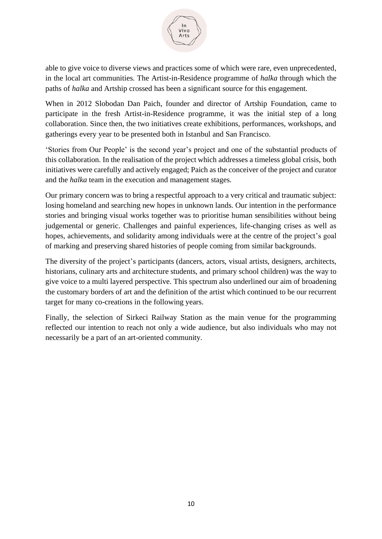

able to give voice to diverse views and practices some of which were rare, even unprecedented, in the local art communities. The Artist-in-Residence programme of *halka* through which the paths of *halka* and Artship crossed has been a significant source for this engagement.

When in 2012 Slobodan Dan Paich, founder and director of Artship Foundation, came to participate in the fresh Artist-in-Residence programme, it was the initial step of a long collaboration. Since then, the two initiatives create exhibitions, performances, workshops, and gatherings every year to be presented both in Istanbul and San Francisco.

'Stories from Our People' is the second year's project and one of the substantial products of this collaboration. In the realisation of the project which addresses a timeless global crisis, both initiatives were carefully and actively engaged; Paich as the conceiver of the project and curator and the *halka* team in the execution and management stages.

Our primary concern was to bring a respectful approach to a very critical and traumatic subject: losing homeland and searching new hopes in unknown lands. Our intention in the performance stories and bringing visual works together was to prioritise human sensibilities without being judgemental or generic. Challenges and painful experiences, life-changing crises as well as hopes, achievements, and solidarity among individuals were at the centre of the project's goal of marking and preserving shared histories of people coming from similar backgrounds.

The diversity of the project's participants (dancers, actors, visual artists, designers, architects, historians, culinary arts and architecture students, and primary school children) was the way to give voice to a multi layered perspective. This spectrum also underlined our aim of broadening the customary borders of art and the definition of the artist which continued to be our recurrent target for many co-creations in the following years.

Finally, the selection of Sirkeci Railway Station as the main venue for the programming reflected our intention to reach not only a wide audience, but also individuals who may not necessarily be a part of an art-oriented community.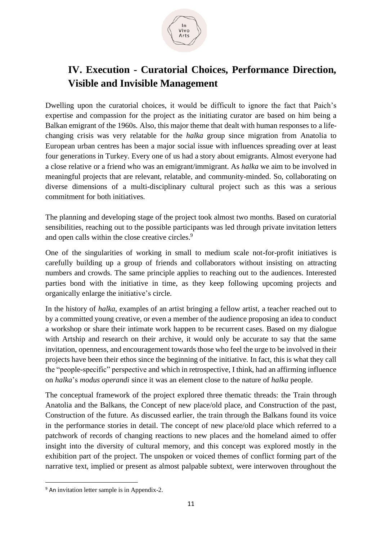

# **IV. Execution - Curatorial Choices, Performance Direction, Visible and Invisible Management**

Dwelling upon the curatorial choices, it would be difficult to ignore the fact that Paich's expertise and compassion for the project as the initiating curator are based on him being a Balkan emigrant of the 1960s. Also, this major theme that dealt with human responses to a lifechanging crisis was very relatable for the *halka* group since migration from Anatolia to European urban centres has been a major social issue with influences spreading over at least four generations in Turkey. Every one of us had a story about emigrants. Almost everyone had a close relative or a friend who was an emigrant/immigrant. As *halka* we aim to be involved in meaningful projects that are relevant, relatable, and community-minded. So, collaborating on diverse dimensions of a multi-disciplinary cultural project such as this was a serious commitment for both initiatives.

The planning and developing stage of the project took almost two months. Based on curatorial sensibilities, reaching out to the possible participants was led through private invitation letters and open calls within the close creative circles.<sup>9</sup>

One of the singularities of working in small to medium scale not-for-profit initiatives is carefully building up a group of friends and collaborators without insisting on attracting numbers and crowds. The same principle applies to reaching out to the audiences. Interested parties bond with the initiative in time, as they keep following upcoming projects and organically enlarge the initiative's circle.

In the history of *halka*, examples of an artist bringing a fellow artist, a teacher reached out to by a committed young creative, or even a member of the audience proposing an idea to conduct a workshop or share their intimate work happen to be recurrent cases. Based on my dialogue with Artship and research on their archive, it would only be accurate to say that the same invitation, openness, and encouragement towards those who feel the urge to be involved in their projects have been their ethos since the beginning of the initiative. In fact, this is what they call the "people-specific" perspective and which in retrospective, I think, had an affirming influence on *halka*'s *modus operandi* since it was an element close to the nature of *halka* people.

The conceptual framework of the project explored three thematic threads: the Train through Anatolia and the Balkans, the Concept of new place/old place, and Construction of the past, Construction of the future. As discussed earlier, the train through the Balkans found its voice in the performance stories in detail. The concept of new place/old place which referred to a patchwork of records of changing reactions to new places and the homeland aimed to offer insight into the diversity of cultural memory, and this concept was explored mostly in the exhibition part of the project. The unspoken or voiced themes of conflict forming part of the narrative text, implied or present as almost palpable subtext, were interwoven throughout the

<sup>9</sup> An invitation letter sample is in Appendix-2.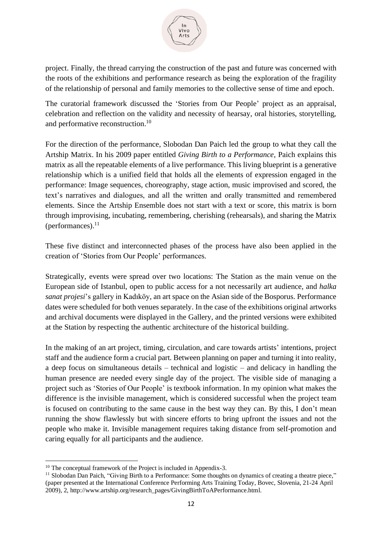

project. Finally, the thread carrying the construction of the past and future was concerned with the roots of the exhibitions and performance research as being the exploration of the fragility of the relationship of personal and family memories to the collective sense of time and epoch.

The curatorial framework discussed the 'Stories from Our People' project as an appraisal, celebration and reflection on the validity and necessity of hearsay, oral histories, storytelling, and performative reconstruction. 10

For the direction of the performance, Slobodan Dan Paich led the group to what they call the Artship Matrix. In his 2009 paper entitled *Giving Birth to a Performance*, Paich explains this matrix as all the repeatable elements of a live performance. This living blueprint is a generative relationship which is a unified field that holds all the elements of expression engaged in the performance: Image sequences, choreography, stage action, music improvised and scored, the text's narratives and dialogues, and all the written and orally transmitted and remembered elements. Since the Artship Ensemble does not start with a text or score, this matrix is born through improvising, incubating, remembering, cherishing (rehearsals), and sharing the Matrix (performances). 11

These five distinct and interconnected phases of the process have also been applied in the creation of 'Stories from Our People' performances.

Strategically, events were spread over two locations: The Station as the main venue on the European side of Istanbul, open to public access for a not necessarily art audience, and *halka sanat projesi*'s gallery in Kadıköy, an art space on the Asian side of the Bosporus. Performance dates were scheduled for both venues separately. In the case of the exhibitions original artworks and archival documents were displayed in the Gallery, and the printed versions were exhibited at the Station by respecting the authentic architecture of the historical building.

In the making of an art project, timing, circulation, and care towards artists' intentions, project staff and the audience form a crucial part. Between planning on paper and turning it into reality, a deep focus on simultaneous details – technical and logistic – and delicacy in handling the human presence are needed every single day of the project. The visible side of managing a project such as 'Stories of Our People' is textbook information. In my opinion what makes the difference is the invisible management, which is considered successful when the project team is focused on contributing to the same cause in the best way they can. By this, I don't mean running the show flawlessly but with sincere efforts to bring upfront the issues and not the people who make it. Invisible management requires taking distance from self-promotion and caring equally for all participants and the audience.

<sup>&</sup>lt;sup>10</sup> The conceptual framework of the Project is included in Appendix-3.

<sup>&</sup>lt;sup>11</sup> Slobodan Dan Paich, "Giving Birth to a Performance: Some thoughts on dynamics of creating a theatre piece," (paper presented at the International Conference Performing Arts Training Today, Bovec, Slovenia, 21-24 April 2009), 2, http://www.artship.org/research\_pages/GivingBirthToAPerformance.html.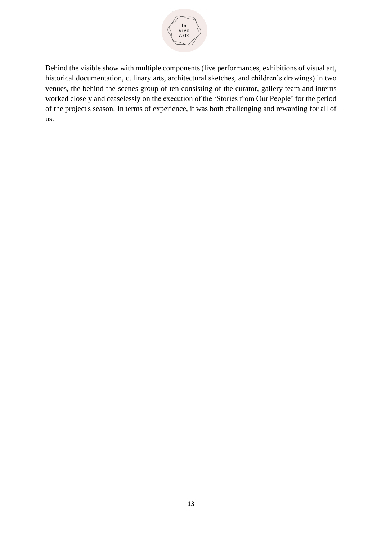

Behind the visible show with multiple components (live performances, exhibitions of visual art, historical documentation, culinary arts, architectural sketches, and children's drawings) in two venues, the behind-the-scenes group of ten consisting of the curator, gallery team and interns worked closely and ceaselessly on the execution of the 'Stories from Our People' for the period of the project's season. In terms of experience, it was both challenging and rewarding for all of us.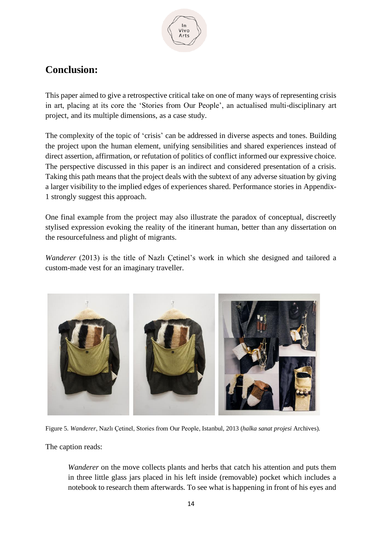

# **Conclusion:**

This paper aimed to give a retrospective critical take on one of many ways of representing crisis in art, placing at its core the 'Stories from Our People', an actualised multi-disciplinary art project, and its multiple dimensions, as a case study.

The complexity of the topic of 'crisis' can be addressed in diverse aspects and tones. Building the project upon the human element, unifying sensibilities and shared experiences instead of direct assertion, affirmation, or refutation of politics of conflict informed our expressive choice. The perspective discussed in this paper is an indirect and considered presentation of a crisis. Taking this path means that the project deals with the subtext of any adverse situation by giving a larger visibility to the implied edges of experiences shared. Performance stories in Appendix-1 strongly suggest this approach.

One final example from the project may also illustrate the paradox of conceptual, discreetly stylised expression evoking the reality of the itinerant human, better than any dissertation on the resourcefulness and plight of migrants.

*Wanderer* (2013) is the title of Nazlı Çetinel's work in which she designed and tailored a custom-made vest for an imaginary traveller.



Figure 5. *Wanderer*, Nazlı Çetinel, Stories from Our People, Istanbul, 2013 (*halka sanat projesi* Archives).

The caption reads:

*Wanderer* on the move collects plants and herbs that catch his attention and puts them in three little glass jars placed in his left inside (removable) pocket which includes a notebook to research them afterwards. To see what is happening in front of his eyes and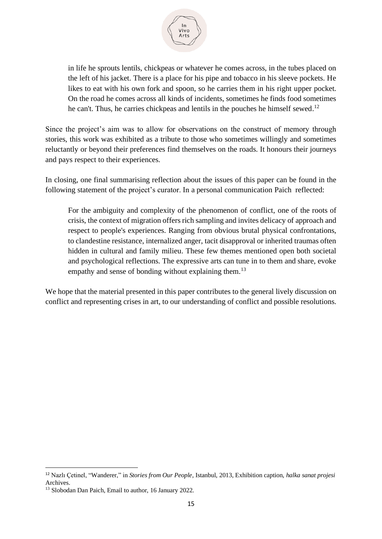

in life he sprouts lentils, chickpeas or whatever he comes across, in the tubes placed on the left of his jacket. There is a place for his pipe and tobacco in his sleeve pockets. He likes to eat with his own fork and spoon, so he carries them in his right upper pocket. On the road he comes across all kinds of incidents, sometimes he finds food sometimes he can't. Thus, he carries chickpeas and lentils in the pouches he himself sewed.<sup>12</sup>

Since the project's aim was to allow for observations on the construct of memory through stories, this work was exhibited as a tribute to those who sometimes willingly and sometimes reluctantly or beyond their preferences find themselves on the roads. It honours their journeys and pays respect to their experiences.

In closing, one final summarising reflection about the issues of this paper can be found in the following statement of the project's curator. In a personal communication Paich reflected:

For the ambiguity and complexity of the phenomenon of conflict, one of the roots of crisis, the context of migration offers rich sampling and invites delicacy of approach and respect to people's experiences. Ranging from obvious brutal physical confrontations, to clandestine resistance, internalized anger, tacit disapproval or inherited traumas often hidden in cultural and family milieu. These few themes mentioned open both societal and psychological reflections. The expressive arts can tune in to them and share, evoke empathy and sense of bonding without explaining them.<sup>13</sup>

We hope that the material presented in this paper contributes to the general lively discussion on conflict and representing crises in art, to our understanding of conflict and possible resolutions.

<sup>12</sup> Nazlı Çetinel, "Wanderer," in *Stories from Our People*, Istanbul, 2013, Exhibition caption, *halka sanat projesi* Archives.

<sup>&</sup>lt;sup>13</sup> Slobodan Dan Paich, Email to author, 16 January 2022.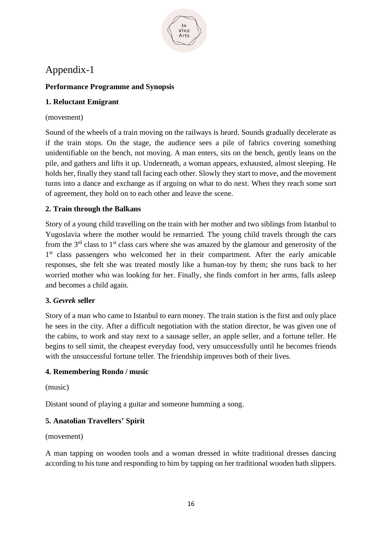

# Appendix-1

# **Performance Programme and Synopsis**

# **1. Reluctant Emigrant**

#### (movement)

Sound of the wheels of a train moving on the railways is heard. Sounds gradually decelerate as if the train stops. On the stage, the audience sees a pile of fabrics covering something unidentifiable on the bench, not moving. A man enters, sits on the bench, gently leans on the pile, and gathers and lifts it up. Underneath, a woman appears, exhausted, almost sleeping. He holds her, finally they stand tall facing each other. Slowly they start to move, and the movement turns into a dance and exchange as if arguing on what to do next. When they reach some sort of agreement, they hold on to each other and leave the scene.

# **2. Train through the Balkans**

Story of a young child travelling on the train with her mother and two siblings from Istanbul to Yugoslavia where the mother would be remarried. The young child travels through the cars from the  $3<sup>rd</sup>$  class to  $1<sup>st</sup>$  class cars where she was amazed by the glamour and generosity of the 1<sup>st</sup> class passengers who welcomed her in their compartment. After the early amicable responses, she felt she was treated mostly like a human-toy by them; she runs back to her worried mother who was looking for her. Finally, she finds comfort in her arms, falls asleep and becomes a child again.

## **3.** *Gevrek* **seller**

Story of a man who came to Istanbul to earn money. The train station is the first and only place he sees in the city. After a difficult negotiation with the station director, he was given one of the cabins, to work and stay next to a sausage seller, an apple seller, and a fortune teller. He begins to sell simit, the cheapest everyday food, very unsuccessfully until he becomes friends with the unsuccessful fortune teller. The friendship improves both of their lives.

## **4. Remembering Rondo / music**

(music)

Distant sound of playing a guitar and someone humming a song.

## **5. Anatolian Travellers' Spirit**

(movement)

A man tapping on wooden tools and a woman dressed in white traditional dresses dancing according to his tune and responding to him by tapping on her traditional wooden bath slippers.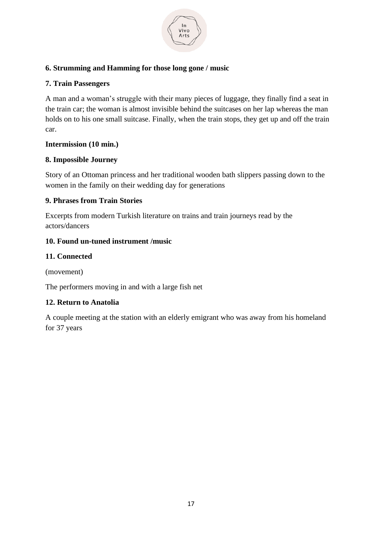

## **6. Strumming and Hamming for those long gone / music**

#### **7. Train Passengers**

A man and a woman's struggle with their many pieces of luggage, they finally find a seat in the train car; the woman is almost invisible behind the suitcases on her lap whereas the man holds on to his one small suitcase. Finally, when the train stops, they get up and off the train car.

#### **Intermission (10 min.)**

#### **8. Impossible Journey**

Story of an Ottoman princess and her traditional wooden bath slippers passing down to the women in the family on their wedding day for generations

#### **9. Phrases from Train Stories**

Excerpts from modern Turkish literature on trains and train journeys read by the actors/dancers

#### **10. Found un-tuned instrument /music**

#### **11. Connected**

(movement)

The performers moving in and with a large fish net

## **12. Return to Anatolia**

A couple meeting at the station with an elderly emigrant who was away from his homeland for 37 years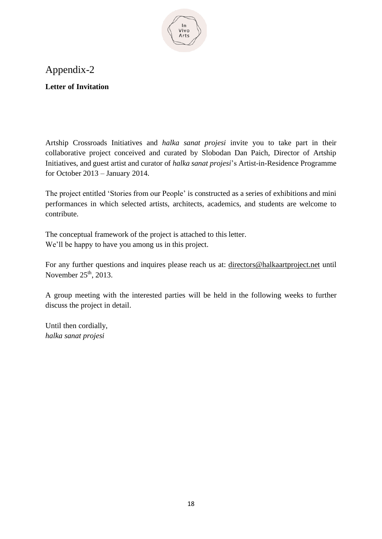

# Appendix-2

**Letter of Invitation**

Artship Crossroads Initiatives and *halka sanat projesi* invite you to take part in their collaborative project conceived and curated by Slobodan Dan Paich, Director of Artship Initiatives, and guest artist and curator of *halka sanat projesi*'s Artist-in-Residence Programme for October 2013 – January 2014.

The project entitled 'Stories from our People' is constructed as a series of exhibitions and mini performances in which selected artists, architects, academics, and students are welcome to contribute.

The conceptual framework of the project is attached to this letter. We'll be happy to have you among us in this project.

For any further questions and inquires please reach us at: [directors@halkaartproject.net](mailto:directors@halkaartproject.net) until November  $25<sup>th</sup>$ , 2013.

A group meeting with the interested parties will be held in the following weeks to further discuss the project in detail.

Until then cordially, *halka sanat projesi*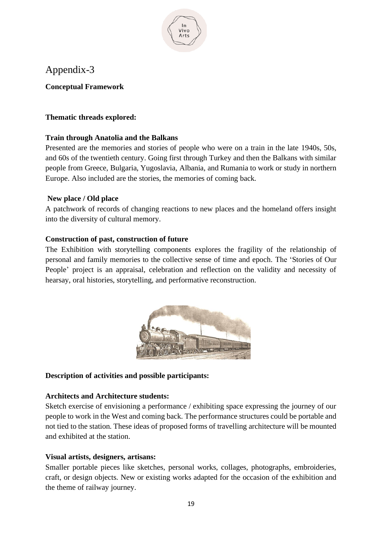

# Appendix-3

**Conceptual Framework**

# **Thematic threads explored:**

# **Train through Anatolia and the Balkans**

Presented are the memories and stories of people who were on a train in the late 1940s, 50s, and 60s of the twentieth century. Going first through Turkey and then the Balkans with similar people from Greece, Bulgaria, Yugoslavia, Albania, and Rumania to work or study in northern Europe. Also included are the stories, the memories of coming back.

## **New place / Old place**

A patchwork of records of changing reactions to new places and the homeland offers insight into the diversity of cultural memory.

## **Construction of past, construction of future**

The Exhibition with storytelling components explores the fragility of the relationship of personal and family memories to the collective sense of time and epoch. The 'Stories of Our People' project is an appraisal, celebration and reflection on the validity and necessity of hearsay, oral histories, storytelling, and performative reconstruction.



## **Description of activities and possible participants:**

## **Architects and Architecture students:**

Sketch exercise of envisioning a performance / exhibiting space expressing the journey of our people to work in the West and coming back. The performance structures could be portable and not tied to the station. These ideas of proposed forms of travelling architecture will be mounted and exhibited at the station.

## **Visual artists, designers, artisans:**

Smaller portable pieces like sketches, personal works, collages, photographs, embroideries, craft, or design objects. New or existing works adapted for the occasion of the exhibition and the theme of railway journey.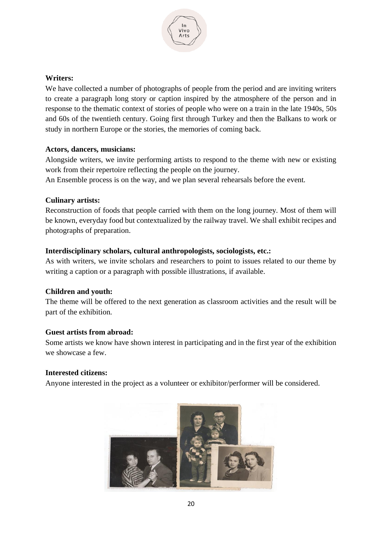

#### **Writers:**

We have collected a number of photographs of people from the period and are inviting writers to create a paragraph long story or caption inspired by the atmosphere of the person and in response to the thematic context of stories of people who were on a train in the late 1940s, 50s and 60s of the twentieth century. Going first through Turkey and then the Balkans to work or study in northern Europe or the stories, the memories of coming back.

#### **Actors, dancers, musicians:**

Alongside writers, we invite performing artists to respond to the theme with new or existing work from their repertoire reflecting the people on the journey.

An Ensemble process is on the way, and we plan several rehearsals before the event.

#### **Culinary artists:**

Reconstruction of foods that people carried with them on the long journey. Most of them will be known, everyday food but contextualized by the railway travel. We shall exhibit recipes and photographs of preparation.

#### **Interdisciplinary scholars, cultural anthropologists, sociologists, etc.:**

As with writers, we invite scholars and researchers to point to issues related to our theme by writing a caption or a paragraph with possible illustrations, if available.

#### **Children and youth:**

The theme will be offered to the next generation as classroom activities and the result will be part of the exhibition.

#### **Guest artists from abroad:**

Some artists we know have shown interest in participating and in the first year of the exhibition we showcase a few.

#### **Interested citizens:**

Anyone interested in the project as a volunteer or exhibitor/performer will be considered.